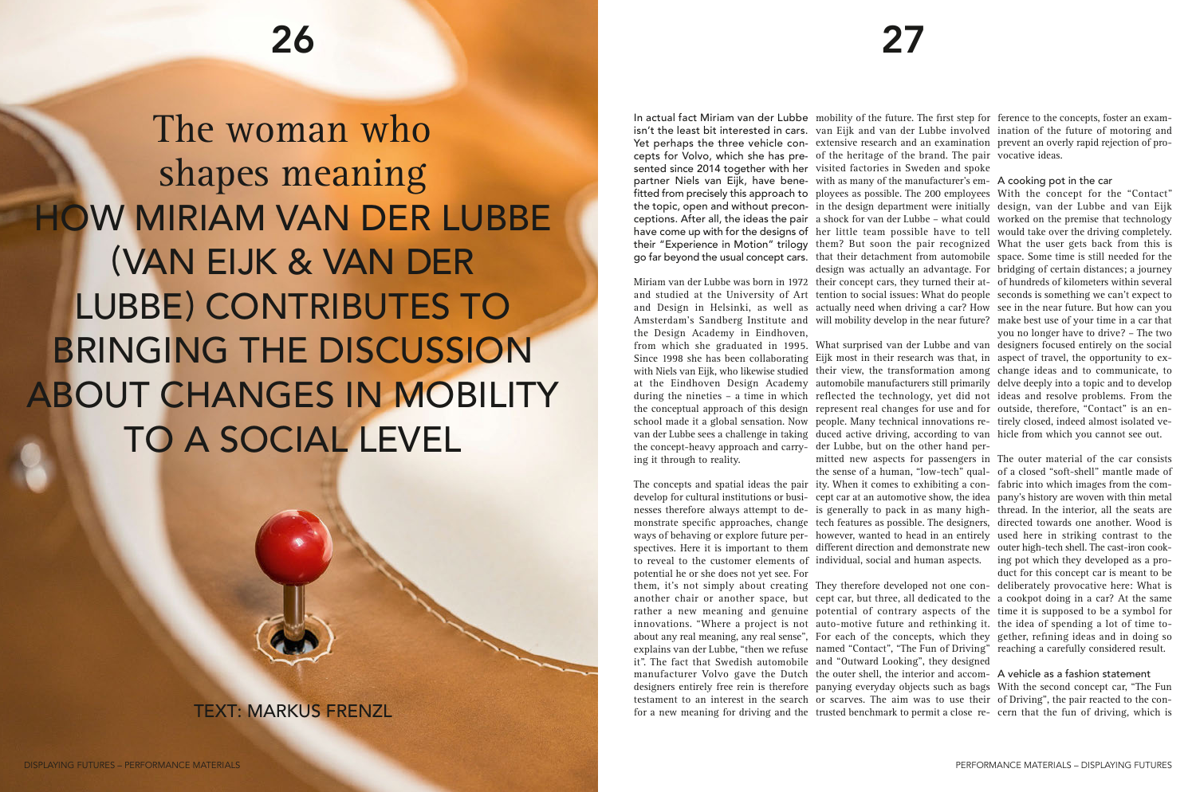## **26**

The woman who shapes meaning HOW MIRIAM VAN DER LUBBE (VAN EIJK & VAN DER LUBBE) CONTRIBUTES TO BRINGING THE DISCUSSION ABOUT CHANGES IN MOBILITY TO A SOCIAL LEVEL

them, it's not simply about creating They therefore developed not one con-deliberately provocative here: What is another chair or another space, but cept car, but three, all dedicated to the a cookpot doing in a car? At the same rather a new meaning and genuine potential of contrary aspects of the time it is supposed to be a symbol for innovations. "Where a project is not auto-motive future and rethinking it. the idea of spending a lot of time toabout any real meaning, any real sense", For each of the concepts, which they gether, refining ideas and in doing so explains van der Lubbe, "then we refuse named "Contact", "The Fun of Driving" reaching a carefully considered result. manufacturer Volvo gave the Dutch the outer shell, the interior and accom- A vehicle as a fashion statement designers entirely free rein is therefore panying everyday objects such as bags With the second concept car, "The Fun testament to an interest in the search or scarves. The aim was to use their of Driving", the pair reacted to the con-TEXT: MARKUS FRENZL for a new meaning for driving and the trusted benchmark to permit a close re- cern that the fun of driving, which is

the Design Academy in Eindhoven, the concept-heavy approach and carry-der Lubbe, but on the other hand pering it through to reality.

sented since 2014 together with her visited factories in Sweden and spoke

In actual fact Miriam van der Lubbe mobility of the future. The first step for ference to the concepts, foster an examisn't the least bit interested in cars. van Eijk and van der Lubbe involved ination of the future of motoring and Yet perhaps the three vehicle con- extensive research and an examination prevent an overly rapid rejection of procepts for Volvo, which she has pre-of the heritage of the brand. The pair vocative ideas. partner Niels van Eijk, have bene- with as many of the manufacturer's em- A cooking pot in the car fitted from precisely this approach to ployees as possible. The 200 employees With the concept for the "Contact" the topic, open and without precon-in the design department were initially design, van der Lubbe and van Eijk ceptions. After all, the ideas the pair a shock for van der Lubbe – what could worked on the premise that technology have come up with for the designs of her little team possible have to tell would take over the driving completely. their "Experience in Motion" trilogy) them? But soon the pair recognized What the user gets back from this is go far beyond the usual concept cars. that their detachment from automobile space. Some time is still needed for the Miriam van der Lubbe was born in 1972 their concept cars, they turned their at-of hundreds of kilometers within several and studied at the University of Art tention to social issues: What do people seconds is something we can't expect to and Design in Helsinki, as well as actually need when driving a car? How see in the near future. But how can you Amsterdam's Sandberg Institute and will mobility develop in the near future? make best use of your time in a car that from which she graduated in 1995. What surprised van der Lubbe and van designers focused entirely on the social Since 1998 she has been collaborating Eijk most in their research was that, in aspect of travel, the opportunity to exwith Niels van Eijk, who likewise studied their view, the transformation among change ideas and to communicate, to at the Eindhoven Design Academy automobile manufacturers still primarily delve deeply into a topic and to develop during the nineties – a time in which reflected the technology, yet did not ideas and resolve problems. From the the conceptual approach of this design represent real changes for use and for outside, therefore, "Contact" is an enschool made it a global sensation. Now people. Many technical innovations re-tirely closed, indeed almost isolated vevan der Lubbe sees a challenge in taking duced active driving, according to van hicle from which you cannot see out. design was actually an advantage. For bridging of certain distances; a journey you no longer have to drive? – The two

The concepts and spatial ideas the pair ity. When it comes to exhibiting a con- fabric into which images from the comthe sense of a human, "low-tech" qual- of a closed "soft-shell" mantle made of

develop for cultural institutions or busi-cept car at an automotive show, the idea pany's history are woven with thin metal nesses therefore always attempt to de-is generally to pack in as many high-thread. In the interior, all the seats are monstrate specific approaches, change tech features as possible. The designers, directed towards one another. Wood is ways of behaving or explore future per-how ever, wanted to head in an entirely used here in striking contrast to the spectives. Here it is important to them different direction and demonstrate new outer high-tech shell. The cast-iron cook to reveal to the customer elements of individual, social and human aspects. ing pot which they developed as a propotential he or she does not yet see. For it". The fact that Swedish automobile and "Outward Looking", they designed

mitted new aspects for passengers in The outer material of the car consists duct for this concept car is meant to be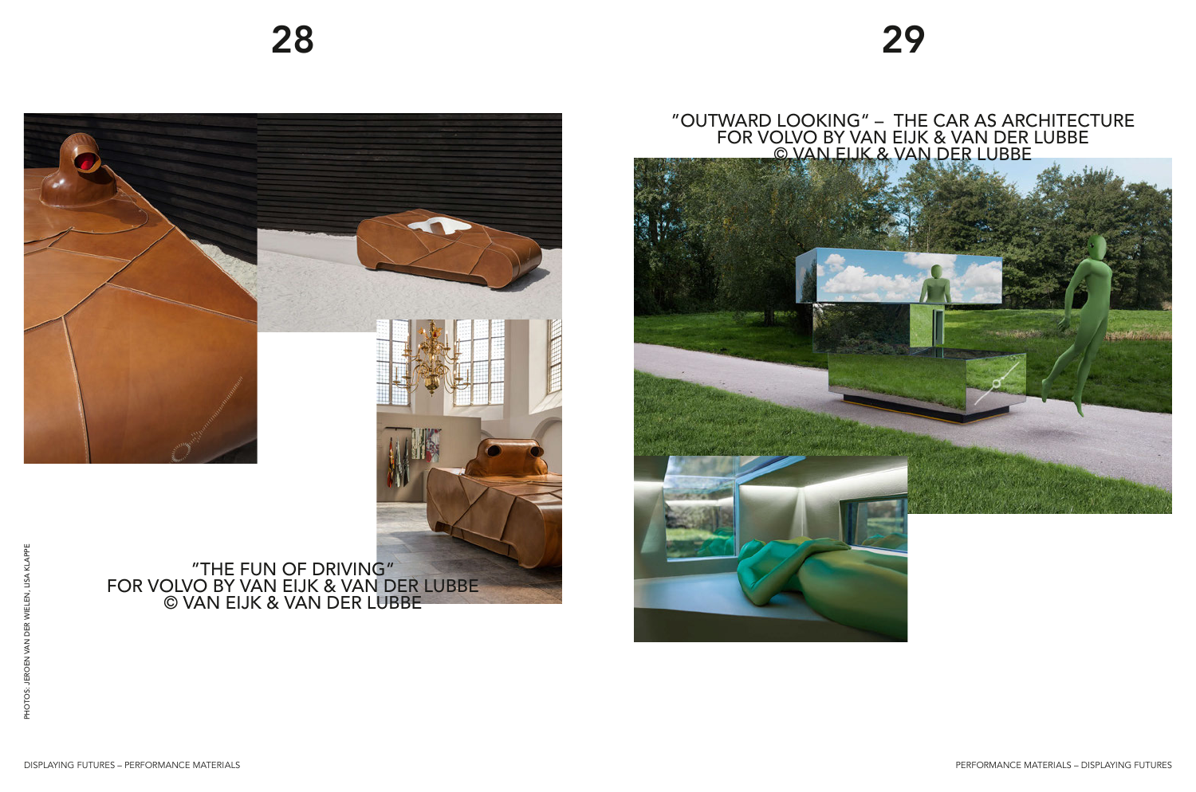

# "OUTWARD LOOKING" – THE CAR AS ARCHITECTURE



FOR VOLVO BY VAN EIJK & VAN DER LUBBE © VAN EIJK & VAN DER LUBBE

## "THE FUN OF DRIVING" FOR VOLVO BY VAN EIJK & VAN DER LUBBE © VAN EIJK & VAN DER LUBBE